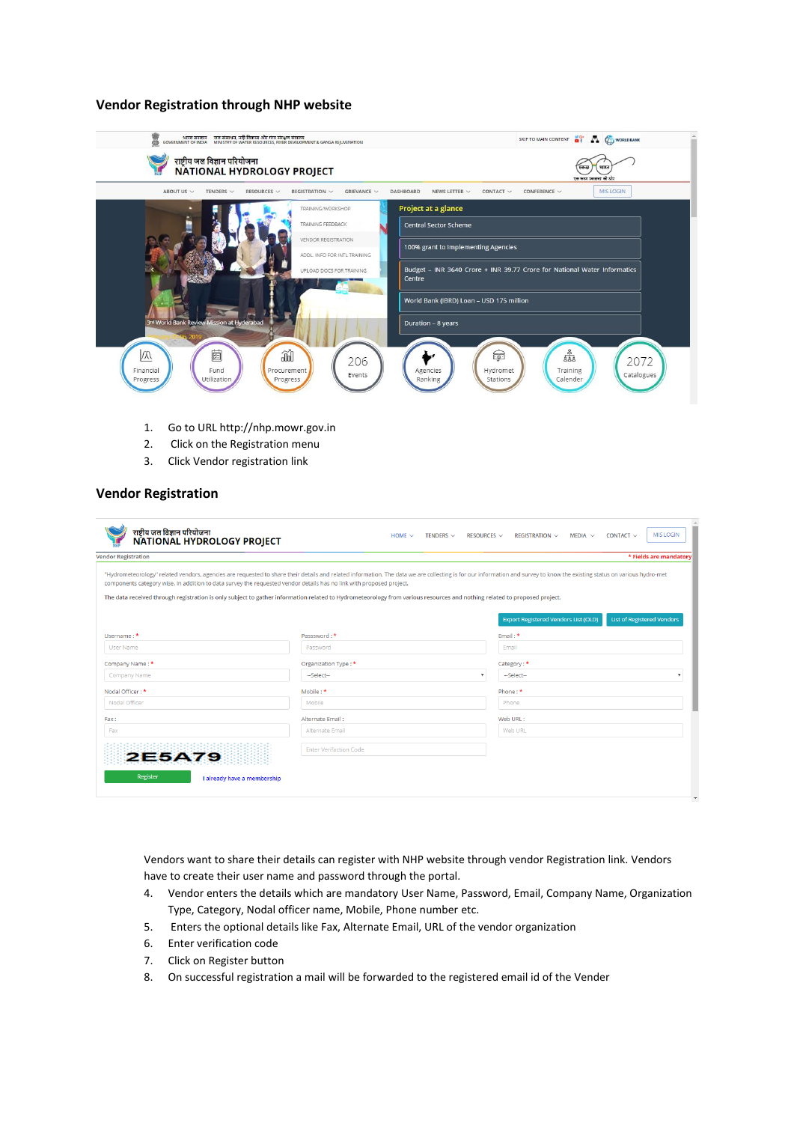## **Vendor Registration through NHP website**

| ् भारत सरकार जिल संसाधन, नदी विकास और गंगा संरक्षण मंत्रालय<br>GOVERNMENT OF INDIA MINISTRY OF WATER RESOURCES, RIVER DEVELOPMENT & GANGA REJUVENATION<br>8<br>राष्ट्रीय जल विज्ञान परियोजना<br>NATIONAL HYDROLOGY PROJECT<br>ABOUT US $\vee$<br>GRIEVANCE $\vee$<br>TENDERS $\vee$<br>RESOURCES V<br>REGISTRATION V | SKIP TO MAIN CONTENT <b>OF A COWORLD BANK</b><br>स्वच्छ<br>भार<br>एक करम स्वच्छता की ओर<br><b>MIS LOGIN</b><br><b>DASHBOARD</b><br>CONTACT $\vee$<br>NEWS LETTER $\vee$<br>CONFERENCE $\vee$ |
|----------------------------------------------------------------------------------------------------------------------------------------------------------------------------------------------------------------------------------------------------------------------------------------------------------------------|----------------------------------------------------------------------------------------------------------------------------------------------------------------------------------------------|
| TRAINING/WORKSHOP<br>TRAINING FEEDBACK<br><b>VENDOR REGISTRATION</b><br>ADDL. INFO FOR INTL TRAINING                                                                                                                                                                                                                 | Project at a glance<br><b>Central Sector Scheme</b><br>100% grant to Implementing Agencies                                                                                                   |
| UPLOAD DOCS FOR TRAINING                                                                                                                                                                                                                                                                                             | Budget - INR 3640 Crore + INR 39.77 Crore for National Water Informatics<br>Centre<br>World Bank (IBRD) Loan - USD 175 million                                                               |
| 3rd World Bank Review Mission at Hyderabad<br>ad<br>菌<br>M<br>206<br>Fund<br>Procurement<br>Financial<br>Events<br>Utilization<br>Progress<br>Progress                                                                                                                                                               | Duration - 8 years<br>$\frac{8}{222}$<br>Ģ<br>2072<br>Hydromet<br>Training<br>Agencies<br>Catalogues<br>Ranking<br>Calender<br>Stations                                                      |

- 1. Go to URL http://nhp.mowr.gov.in
- 2. Click on the Registration menu
- 3. Click Vendor registration link

# **Vendor Registration**

| <b>Vendor Registration</b> |                                                                                                                                                                          | * Fields are mandatory                                                                                                                                                                                                   |
|----------------------------|--------------------------------------------------------------------------------------------------------------------------------------------------------------------------|--------------------------------------------------------------------------------------------------------------------------------------------------------------------------------------------------------------------------|
|                            | components category wise. In addition to data survey the requested vendor details has no link with proposed project.                                                     | "Hydrometeorology" related vendors, agencies are requested to share their details and related information. The data we are collecting is for our information and survey to know the existing status on various hydro-met |
|                            | The data received through registration is only subject to gather information related to Hydrometeorology from various resources and nothing related to proposed project. |                                                                                                                                                                                                                          |
|                            |                                                                                                                                                                          | <b>List of Registered Vendors</b><br><b>Export Registered Vendors List (OLD)</b>                                                                                                                                         |
| Username: *                | Passsword: *                                                                                                                                                             | Email: *                                                                                                                                                                                                                 |
| <b>User Name</b>           | Password                                                                                                                                                                 | Email                                                                                                                                                                                                                    |
| Company Name: *            | Organization Type: *                                                                                                                                                     | Category: *                                                                                                                                                                                                              |
| Company Name               | -Select--                                                                                                                                                                | $\mathbf{v}$<br>--Select--                                                                                                                                                                                               |
| Nodal Officer: *           | Mobile: *                                                                                                                                                                | Phone: *                                                                                                                                                                                                                 |
| Nodal Officer              | Mobile                                                                                                                                                                   | Phone                                                                                                                                                                                                                    |
| Fax:                       | Alternate Email:                                                                                                                                                         | Web URL:                                                                                                                                                                                                                 |
| Fax                        | Alternate Email                                                                                                                                                          | Web URL                                                                                                                                                                                                                  |
|                            | <b>Enter Verifaction Code</b>                                                                                                                                            |                                                                                                                                                                                                                          |
| <b>2E5A79</b>              |                                                                                                                                                                          |                                                                                                                                                                                                                          |

Vendors want to share their details can register with NHP website through vendor Registration link. Vendors have to create their user name and password through the portal.

- 4. Vendor enters the details which are mandatory User Name, Password, Email, Company Name, Organization Type, Category, Nodal officer name, Mobile, Phone number etc.
- 5. Enters the optional details like Fax, Alternate Email, URL of the vendor organization
- 6. Enter verification code
- 7. Click on Register button
- 8. On successful registration a mail will be forwarded to the registered email id of the Vender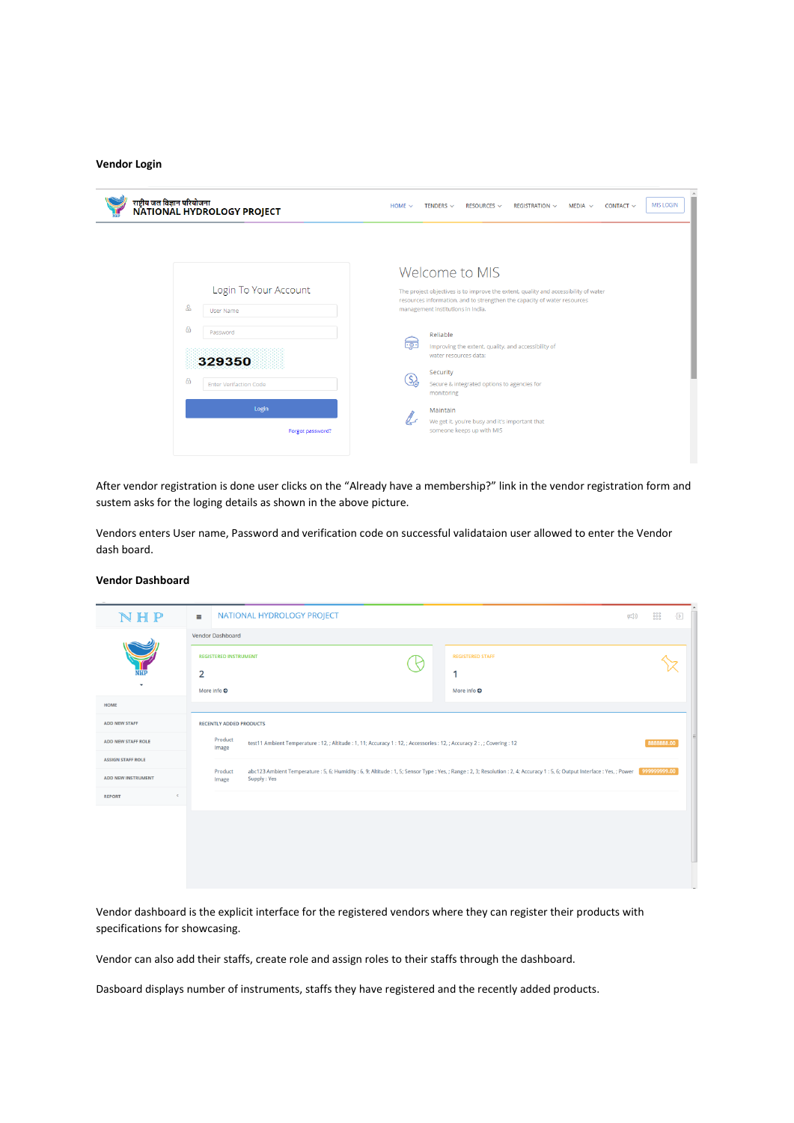#### **Vendor Login**

| राष्ट्रीय जल विज्ञान परियोजना<br>NATIONAL HYDROLOGY PROJECT                                                                                         | <b>MIS LOGIN</b><br>RESOURCES $\sim$<br>REGISTRATION $\sim$<br>MEDIA $\sim$<br>CONTACT $\sim$<br>HOME $\sim$<br>TENDERS $\sim$                                                                                                                                                                                                                                                                                                                                                                             |
|-----------------------------------------------------------------------------------------------------------------------------------------------------|------------------------------------------------------------------------------------------------------------------------------------------------------------------------------------------------------------------------------------------------------------------------------------------------------------------------------------------------------------------------------------------------------------------------------------------------------------------------------------------------------------|
| Login To Your Account<br>&<br>User Name<br>$\theta$<br>Password<br>329350<br>$\theta$<br><b>Enter Verifaction Code</b><br>Login<br>Forgot password? | Welcome to MIS<br>The project objectives is to improve the extent, quality and accessibility of water<br>resources information, and to strengthen the capacity of water resources<br>management institutions in India.<br>Reliable<br>ಣೆ:<br>Improving the extent, quality, and accessibility of<br>water resources data:<br>Security<br><u>S)</u><br>Secure & integrated options to agencies for<br>monitoring<br>Maintain<br>We get it, you're busy and it's important that<br>someone keeps up with MIS |

After vendor registration is done user clicks on the "Already have a membership?" link in the vendor registration form and sustem asks for the loging details as shown in the above picture.

Vendors enters User name, Password and verification code on successful validataion user allowed to enter the Vendor dash board.

#### **Vendor Dashboard**

| NHP                                           | NATIONAL HYDROLOGY PROJECT<br>$\leftarrow$ ()<br>$\equiv$                                                                                                                                                                        | Ð |
|-----------------------------------------------|----------------------------------------------------------------------------------------------------------------------------------------------------------------------------------------------------------------------------------|---|
|                                               | Vendor Dashboard                                                                                                                                                                                                                 |   |
|                                               | <b>REGISTERED INSTRUMENT</b><br><b>REGISTERED STAFF</b>                                                                                                                                                                          |   |
| <b>NHP</b>                                    | $\overline{2}$<br>1                                                                                                                                                                                                              |   |
| HOME                                          | More info $\odot$<br>More info $\odot$                                                                                                                                                                                           |   |
| <b>ADD NEW STAFF</b>                          | <b>RECENTLY ADDED PRODUCTS</b>                                                                                                                                                                                                   |   |
| <b>ADD NEW STAFF ROLE</b>                     | Product<br>8888888.00<br>test11 Ambient Temperature : 12, ; Altitude : 1, 11; Accuracy 1 : 12, ; Accessories : 12, ; Accuracy 2 : , ; Covering : 12                                                                              |   |
| <b>ASSIGN STAFF ROLE</b>                      | Image                                                                                                                                                                                                                            |   |
| <b>ADD NEW INSTRUMENT</b>                     | 999999999.00<br>abc123 Ambient Temperature : 5, 6; Humidity : 6, 9; Altitude : 1, 5; Sensor Type : Yes, ; Range : 2, 3; Resolution : 2, 4; Accuracy 1 : 5, 6; Output Interface : Yes, ; Power<br>Product<br>Supply: Yes<br>Image |   |
| $\left\langle \right\rangle$<br><b>REPORT</b> |                                                                                                                                                                                                                                  |   |
|                                               |                                                                                                                                                                                                                                  |   |
|                                               |                                                                                                                                                                                                                                  |   |
|                                               |                                                                                                                                                                                                                                  |   |
|                                               |                                                                                                                                                                                                                                  |   |

Vendor dashboard is the explicit interface for the registered vendors where they can register their products with specifications for showcasing.

Vendor can also add their staffs, create role and assign roles to their staffs through the dashboard.

Dasboard displays number of instruments, staffs they have registered and the recently added products.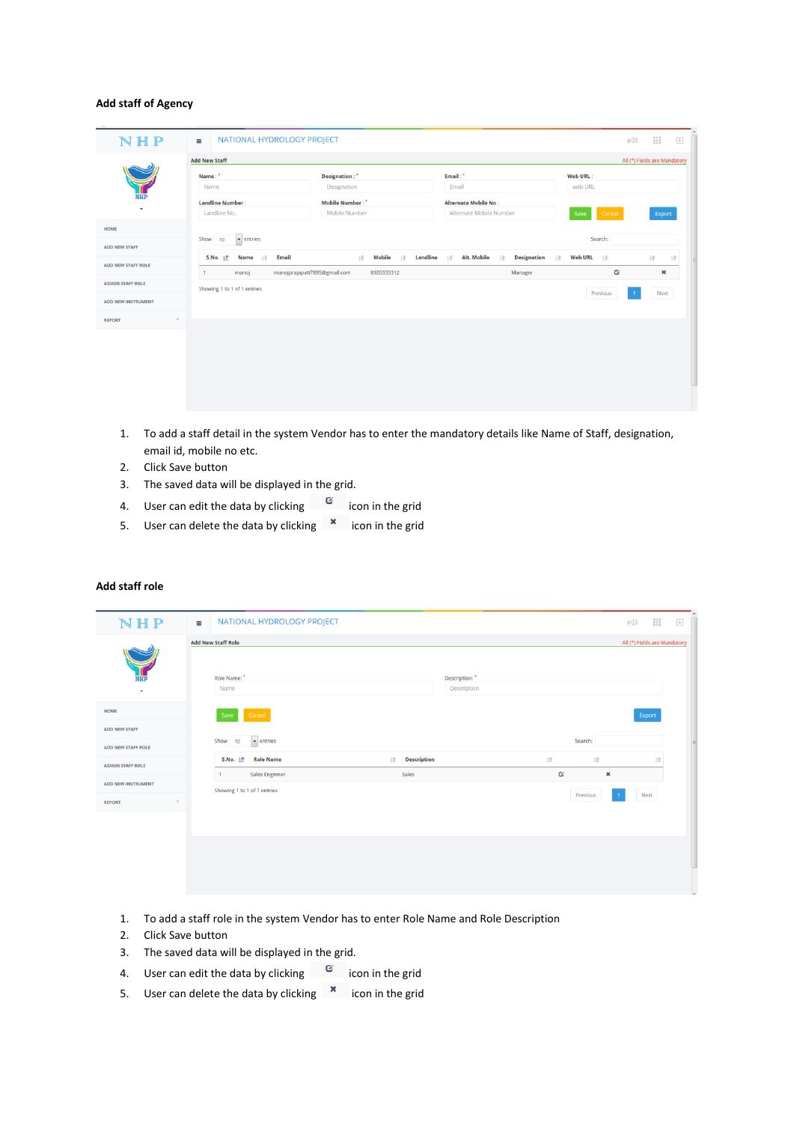### **Add staff of Agency**

| NHP                             | NATIONAL HYDROLOGY PROJECT<br>$\equiv$                                                                  |                                                                                                                              |                                                          | $\overline{\overline{\mathbb{D}}}$<br>$\leftarrow$         |
|---------------------------------|---------------------------------------------------------------------------------------------------------|------------------------------------------------------------------------------------------------------------------------------|----------------------------------------------------------|------------------------------------------------------------|
|                                 | <b>Add New Staff</b>                                                                                    |                                                                                                                              |                                                          | All (*) Fields are Mandatory                               |
|                                 | Name:*<br>Name                                                                                          | Designation: <sup>*</sup><br>Designation                                                                                     | Email: <sup>*</sup><br>Email                             | Web URL:<br>web URL                                        |
| NHP<br>$\overline{\phantom{a}}$ | <b>Landline Number:</b><br>Landline No.                                                                 | Mobile Number:<br>Mobile Number                                                                                              | <b>Alternate Mobile No:</b><br>Alternate Mobile Number   | Cancel<br>Save<br>Export                                   |
| HOME                            |                                                                                                         |                                                                                                                              |                                                          |                                                            |
| <b>ADD NEW STAFF</b>            | Show 10<br>$\blacktriangleright$ entries                                                                |                                                                                                                              |                                                          | Search:                                                    |
| <b>ADD NEW STAFF ROLE</b>       | <b>Email</b><br>S.No. If<br><b>Name</b><br>$1$ <sup><math>\dagger</math></sup><br>manoj<br>$\mathbf{1}$ | <b>Mobile</b><br><b>Landline</b><br>IŶ<br>$1$ <sup><math>\ddot{v}</math></sup><br>manojprajapati7895@gmail.com<br>8920333312 | Alt. Mobile<br><b>Designation</b><br>Iŵ<br>工企<br>Manager | Web URL          <br>IÊ<br>Iŵ<br>Iŵ<br>Ø<br>$\pmb{\times}$ |
| <b>ASSIGN STAFF ROLE</b>        | Showing 1 to 1 of 1 entries                                                                             |                                                                                                                              |                                                          | Previous<br>Next                                           |
| <b>ADD NEW INSTRUMENT</b>       |                                                                                                         |                                                                                                                              |                                                          |                                                            |
| $\epsilon$<br><b>REPORT</b>     |                                                                                                         |                                                                                                                              |                                                          |                                                            |
|                                 |                                                                                                         |                                                                                                                              |                                                          |                                                            |
|                                 |                                                                                                         |                                                                                                                              |                                                          |                                                            |
|                                 |                                                                                                         |                                                                                                                              |                                                          |                                                            |
|                                 |                                                                                                         |                                                                                                                              |                                                          |                                                            |

- 1. To add a staff detail in the system Vendor has to enter the mandatory details like Name of Staff, designation, email id, mobile no etc.
- 2. Click Save button
- 3. The saved data will be displayed in the grid.
- 4. User can edit the data by clicking  $\frac{a}{2}$  icon in the grid
- 5. User can delete the data by clicking  $\overline{\phantom{a}}$  icon in the grid

#### **Add staff role**

| N H P                                             | NATIONAL HYDROLOGY PROJECT<br>$\equiv$                        |                                   |                                               | 000<br>000<br>000<br>$\mathbb{F}(x)$ | Ð |
|---------------------------------------------------|---------------------------------------------------------------|-----------------------------------|-----------------------------------------------|--------------------------------------|---|
|                                                   | <b>Add New Staff Role</b>                                     |                                   |                                               | All (*) Fields are Mandatory         |   |
| <b>NHP</b><br>$\mathbf{v}$                        | Role Name:<br>Name                                            | Description:<br>Description       |                                               |                                      |   |
| HOME                                              | Cancel<br>Save                                                |                                   |                                               | Export                               |   |
| <b>ADD NEW STAFF</b><br><b>ADD NEW STAFF ROLE</b> | $\bullet$ entries<br>Show<br>10                               |                                   | Search:                                       |                                      |   |
| <b>ASSIGN STAFF ROLE</b>                          | <b>Role Name</b><br>S.No. 1<br>Sales Enginner<br>$\mathbf{1}$ | <b>Description</b><br>10<br>Sales | $1\%$<br>Iŷ<br>$\mathbf{G}$<br>$\pmb{\times}$ | lŵ                                   |   |
| ADD NEW INSTRUMENT<br>$\leq$<br><b>REPORT</b>     | Showing 1 to 1 of 1 entries                                   |                                   | Previous<br>$\mathbf{1}$                      | Next                                 |   |
|                                                   |                                                               |                                   |                                               |                                      |   |
|                                                   |                                                               |                                   |                                               |                                      |   |
|                                                   |                                                               |                                   |                                               |                                      |   |
|                                                   |                                                               |                                   |                                               |                                      |   |

- 1. To add a staff role in the system Vendor has to enter Role Name and Role Description
- 2. Click Save button
- 3. The saved data will be displayed in the grid.
- 4. User can edit the data by clicking  $\Box$  icon in the grid
- 5. User can delete the data by clicking  $\overline{\phantom{a}}$  icon in the grid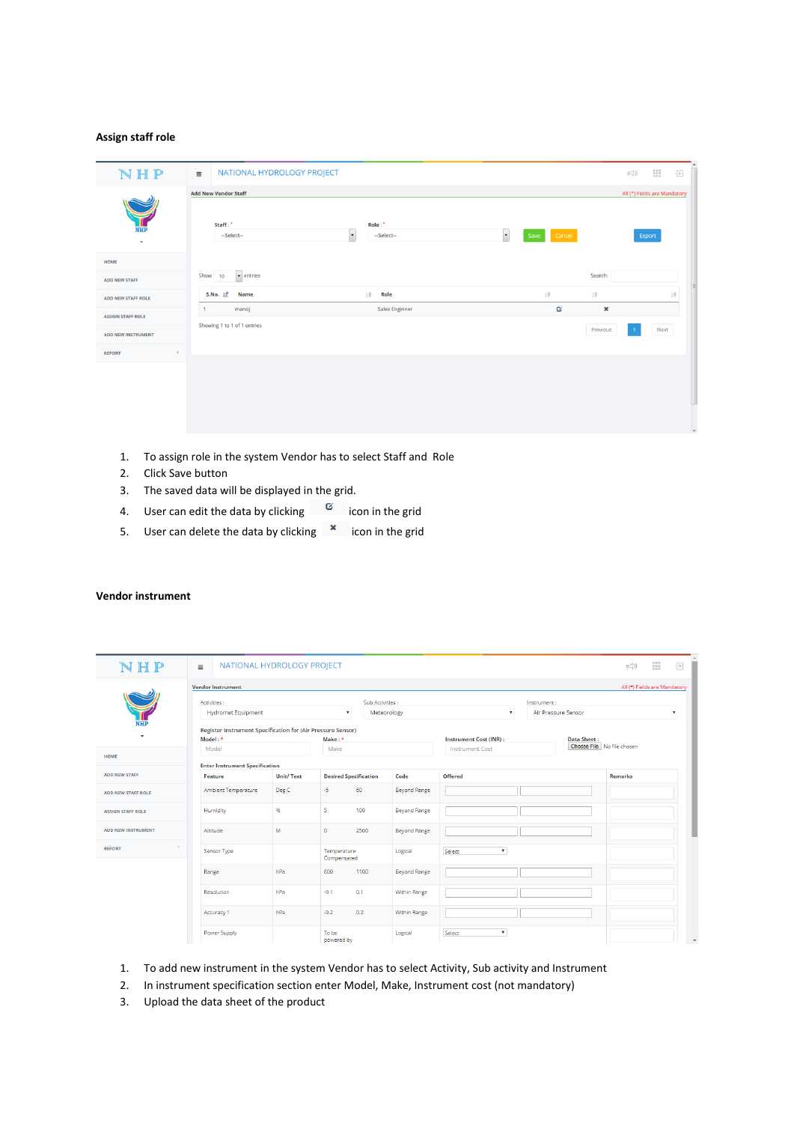### **Assign staff role**

| NHP                      | NATIONAL HYDROLOGY PROJECT<br>$\equiv$ |                                                  |                             |                | 000<br>000<br>000<br>$\overline{\Theta}$<br>$\mathbb{F}^{(1)}$ |
|--------------------------|----------------------------------------|--------------------------------------------------|-----------------------------|----------------|----------------------------------------------------------------|
|                          | <b>Add New Vendor Staff</b>            |                                                  |                             |                | All (*) Fields are Mandatory                                   |
| NHP<br>$\mathbf{v}$      | Staff:"<br>--Select--                  | Role:*<br>$\overline{\phantom{a}}$<br>--Select-- | $\bullet$<br>Cancel<br>Save |                | Export                                                         |
| HOME                     |                                        |                                                  |                             |                |                                                                |
| <b>ADD NEW STAFF</b>     | $\bullet$ entries<br>Show 10           |                                                  |                             | Search:        |                                                                |
| ADD NEW STAFF ROLE       | S.No. $\mathbb{I}^*$<br><b>Name</b>    | 1ŧ<br>Role                                       | Iŷ                          | ↓∲             | 1Ŷ                                                             |
| <b>ASSIGN STAFF ROLE</b> | manoj<br>$\overline{1}$                | <b>Sales Enginner</b>                            | Ø                           | $\pmb{\times}$ |                                                                |
| ADD NEW INSTRUMENT       | Showing 1 to 1 of 1 entries            |                                                  |                             | Previous       | Next                                                           |
| $\leq$<br><b>REPORT</b>  |                                        |                                                  |                             |                |                                                                |
|                          |                                        |                                                  |                             |                |                                                                |
|                          |                                        |                                                  |                             |                |                                                                |
|                          |                                        |                                                  |                             |                |                                                                |
|                          |                                        |                                                  |                             |                |                                                                |

- 1. To assign role in the system Vendor has to select Staff and Role
- 2. Click Save button
- 3. The saved data will be displayed in the grid.
- 4. User can edit the data by clicking  $\overline{a}$  icon in the grid
- 5. User can delete the data by clicking  $\overline{\phantom{a}}$  icon in the grid

| NHP                       | NATIONAL HYDROLOGY PROJECT<br>$\equiv$                      |                  |                              |                  |                     |                                     |                     |                            | $\mp$ (1)      | $\begin{smallmatrix} 0 & 0 & 0 \\ 0 & 0 & 0 \\ 0 & 0 & 0 \end{smallmatrix}$<br>Ð |
|---------------------------|-------------------------------------------------------------|------------------|------------------------------|------------------|---------------------|-------------------------------------|---------------------|----------------------------|----------------|----------------------------------------------------------------------------------|
|                           | <b>Vendor Instrument</b>                                    |                  |                              |                  |                     |                                     |                     |                            |                | All (*) Fields are Mandatory                                                     |
|                           | Activities:                                                 |                  |                              | Sub Activities : |                     |                                     | Instrument:         |                            |                |                                                                                  |
|                           | <b>Hydromet Equipment</b>                                   |                  | $\boldsymbol{\mathrm{v}}$    | Meteorology      |                     | $\boldsymbol{\mathrm{v}}$           | Air Pressure Sensor |                            |                | $\boldsymbol{\mathrm{v}}$                                                        |
| NHP                       | Register Instrument Specification for (Air Pressure Sensor) |                  |                              |                  |                     |                                     |                     |                            |                |                                                                                  |
|                           | Model:*                                                     |                  | Make: *                      |                  |                     | <b>Instrument Cost (INR):</b>       |                     | <b>Data Sheet:</b>         |                |                                                                                  |
|                           | Model                                                       |                  | Make                         |                  |                     | <b>Instrument Cost</b>              |                     | Choose File No file chosen |                |                                                                                  |
| HOME                      | <b>Enter Instrument Specification</b>                       |                  |                              |                  |                     |                                     |                     |                            |                |                                                                                  |
| <b>ADD NEW STAFF</b>      | Feature                                                     | <b>Unit/Text</b> | <b>Desired Specification</b> |                  | Code                | Offered                             |                     |                            | <b>Remarks</b> |                                                                                  |
| <b>ADD NEW STAFF ROLE</b> | Ambient Temperature                                         | Deg C            | $-5$                         | 60               | <b>Beyond Range</b> |                                     |                     |                            |                |                                                                                  |
| <b>ASSIGN STAFF ROLE</b>  | Humidity                                                    | 96               | 5                            | 100              | <b>Beyond Range</b> |                                     |                     |                            |                |                                                                                  |
| <b>ADD NEW INSTRUMENT</b> | Altitude                                                    | M                | $\mathbf 0$                  | 2500             | <b>Beyond Range</b> |                                     |                     |                            |                |                                                                                  |
| <b>REPORT</b>             | Sensor Type                                                 |                  | Temperature<br>Compensated   |                  | Logical             | $\boldsymbol{\mathrm{v}}$<br>Select |                     |                            |                |                                                                                  |
|                           | Range                                                       | hPa              | 600                          | 1100             | <b>Beyond Range</b> |                                     |                     |                            |                |                                                                                  |
|                           | Resolution                                                  | hPa              | $-0.1$                       | 0.1              | <b>Within Range</b> |                                     |                     |                            |                |                                                                                  |
|                           | Accuracy 1                                                  | hPa              | $-0.2$                       | 0.2              | <b>Within Range</b> |                                     |                     |                            |                |                                                                                  |
|                           | Power Supply                                                |                  | To be<br>powered by          |                  | Logical             | Select<br>$\boldsymbol{\mathrm{v}}$ |                     |                            |                |                                                                                  |

#### **Vendor instrument**

- 1. To add new instrument in the system Vendor has to select Activity, Sub activity and Instrument
- 2. In instrument specification section enter Model, Make, Instrument cost (not mandatory)
- 3. Upload the data sheet of the product